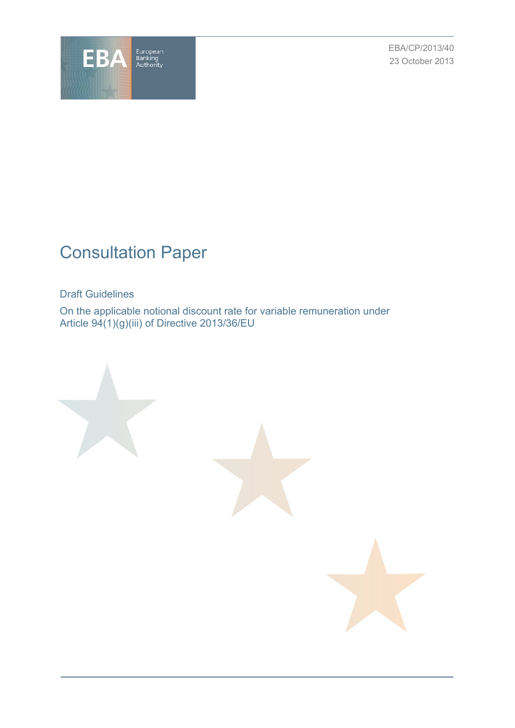

EBA/CP/2013/40 23 October 2013

# Consultation Paper

Draft Guidelines

On the applicable notional discount rate for variable remuneration under Article 94(1)(g)(iii) of Directive 2013/36/EU

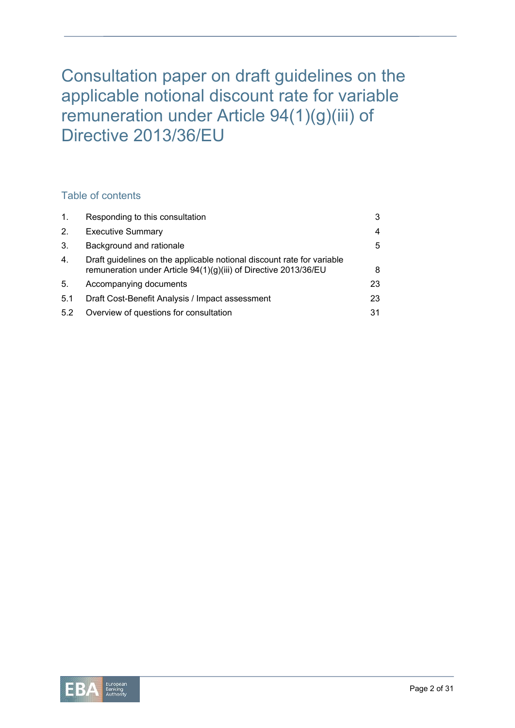# Consultation paper on draft guidelines on the applicable notional discount rate for variable remuneration under Article 94(1)(g)(iii) of Directive 2013/36/EU

# Table of contents

| 1.  | Responding to this consultation                                                                                                            | 3  |
|-----|--------------------------------------------------------------------------------------------------------------------------------------------|----|
| 2.  | <b>Executive Summary</b>                                                                                                                   | 4  |
| 3.  | Background and rationale                                                                                                                   | 5  |
| 4.  | Draft guidelines on the applicable notional discount rate for variable<br>remuneration under Article 94(1)(g)(iii) of Directive 2013/36/EU | 8  |
| 5.  | Accompanying documents                                                                                                                     | 23 |
| 5.1 | Draft Cost-Benefit Analysis / Impact assessment                                                                                            | 23 |
| 5.2 | Overview of questions for consultation                                                                                                     | 31 |

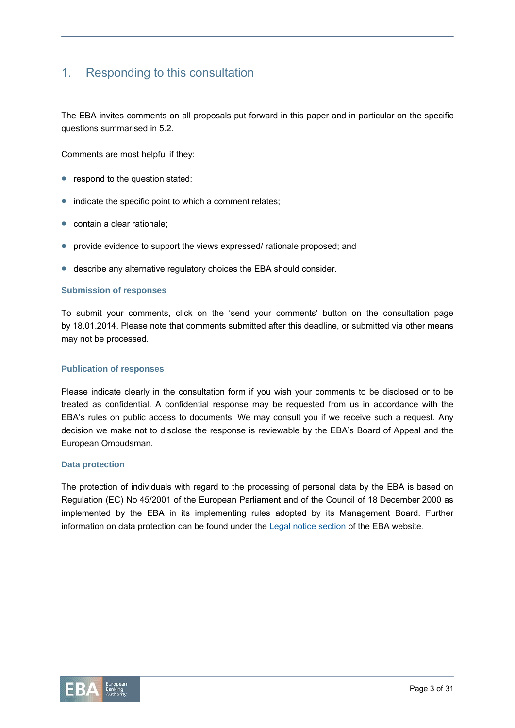# 1. Responding to this consultation

The EBA invites comments on all proposals put forward in this paper and in particular on the specific questions summarised in 5.2.

Comments are most helpful if they:

- respond to the question stated;
- indicate the specific point to which a comment relates;
- contain a clear rationale:
- provide evidence to support the views expressed/ rationale proposed; and
- describe any alternative regulatory choices the EBA should consider.

#### **Submission of responses**

To submit your comments, click on the 'send your comments' button on the consultation page by 18.01.2014. Please note that comments submitted after this deadline, or submitted via other means may not be processed.

#### **Publication of responses**

Please indicate clearly in the consultation form if you wish your comments to be disclosed or to be treated as confidential. A confidential response may be requested from us in accordance with the EBA's rules on public access to documents. We may consult you if we receive such a request. Any decision we make not to disclose the response is reviewable by the EBA's Board of Appeal and the European Ombudsman.

#### **Data protection**

The protection of individuals with regard to the processing of personal data by the EBA is based on Regulation (EC) No 45/2001 of the European Parliament and of the Council of 18 December 2000 as implemented by the EBA in its implementing rules adopted by its Management Board. Further information on data protection can be found under the Legal notice section of the EBA website.

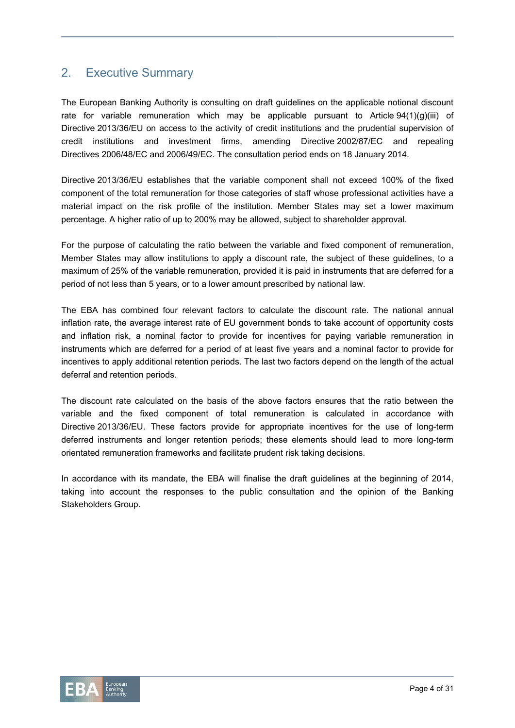# 2. Executive Summary

The European Banking Authority is consulting on draft guidelines on the applicable notional discount rate for variable remuneration which may be applicable pursuant to Article  $94(1)(g)(iii)$  of Directive 2013/36/EU on access to the activity of credit institutions and the prudential supervision of credit institutions and investment firms, amending Directive 2002/87/EC and repealing Directives 2006/48/EC and 2006/49/EC. The consultation period ends on 18 January 2014.

Directive 2013/36/EU establishes that the variable component shall not exceed 100% of the fixed component of the total remuneration for those categories of staff whose professional activities have a material impact on the risk profile of the institution. Member States may set a lower maximum percentage. A higher ratio of up to 200% may be allowed, subject to shareholder approval.

For the purpose of calculating the ratio between the variable and fixed component of remuneration, Member States may allow institutions to apply a discount rate, the subject of these guidelines, to a maximum of 25% of the variable remuneration, provided it is paid in instruments that are deferred for a period of not less than 5 years, or to a lower amount prescribed by national law.

The EBA has combined four relevant factors to calculate the discount rate. The national annual inflation rate, the average interest rate of EU government bonds to take account of opportunity costs and inflation risk, a nominal factor to provide for incentives for paying variable remuneration in instruments which are deferred for a period of at least five years and a nominal factor to provide for incentives to apply additional retention periods. The last two factors depend on the length of the actual deferral and retention periods.

The discount rate calculated on the basis of the above factors ensures that the ratio between the variable and the fixed component of total remuneration is calculated in accordance with Directive 2013/36/EU. These factors provide for appropriate incentives for the use of long-term deferred instruments and longer retention periods; these elements should lead to more long-term orientated remuneration frameworks and facilitate prudent risk taking decisions.

In accordance with its mandate, the EBA will finalise the draft guidelines at the beginning of 2014, taking into account the responses to the public consultation and the opinion of the Banking Stakeholders Group.

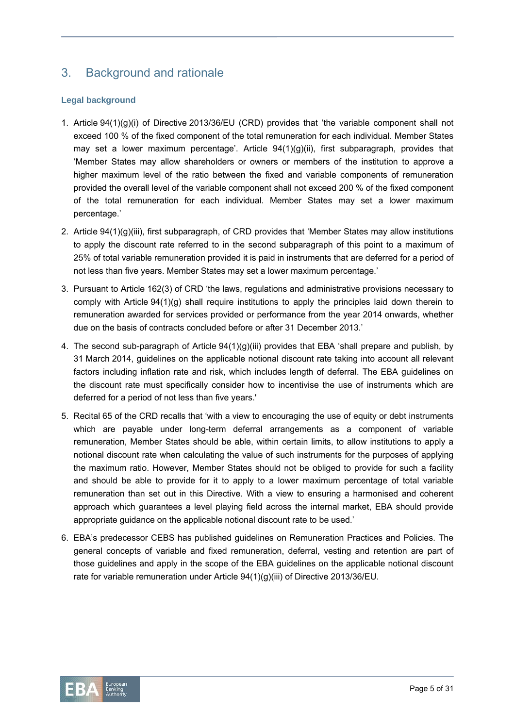# 3. Background and rationale

#### **Legal background**

- 1. Article 94(1)(g)(i) of Directive 2013/36/EU (CRD) provides that 'the variable component shall not exceed 100 % of the fixed component of the total remuneration for each individual. Member States may set a lower maximum percentage'. Article 94(1)(g)(ii), first subparagraph, provides that 'Member States may allow shareholders or owners or members of the institution to approve a higher maximum level of the ratio between the fixed and variable components of remuneration provided the overall level of the variable component shall not exceed 200 % of the fixed component of the total remuneration for each individual. Member States may set a lower maximum percentage.'
- 2. Article 94(1)(g)(iii), first subparagraph, of CRD provides that 'Member States may allow institutions to apply the discount rate referred to in the second subparagraph of this point to a maximum of 25% of total variable remuneration provided it is paid in instruments that are deferred for a period of not less than five years. Member States may set a lower maximum percentage.'
- 3. Pursuant to Article 162(3) of CRD 'the laws, regulations and administrative provisions necessary to comply with Article 94(1)(g) shall require institutions to apply the principles laid down therein to remuneration awarded for services provided or performance from the year 2014 onwards, whether due on the basis of contracts concluded before or after 31 December 2013.'
- 4. The second sub-paragraph of Article 94(1)(g)(iii) provides that EBA 'shall prepare and publish, by 31 March 2014, guidelines on the applicable notional discount rate taking into account all relevant factors including inflation rate and risk, which includes length of deferral. The EBA guidelines on the discount rate must specifically consider how to incentivise the use of instruments which are deferred for a period of not less than five years.'
- 5. Recital 65 of the CRD recalls that 'with a view to encouraging the use of equity or debt instruments which are payable under long-term deferral arrangements as a component of variable remuneration, Member States should be able, within certain limits, to allow institutions to apply a notional discount rate when calculating the value of such instruments for the purposes of applying the maximum ratio. However, Member States should not be obliged to provide for such a facility and should be able to provide for it to apply to a lower maximum percentage of total variable remuneration than set out in this Directive. With a view to ensuring a harmonised and coherent approach which guarantees a level playing field across the internal market, EBA should provide appropriate guidance on the applicable notional discount rate to be used.'
- 6. EBA's predecessor CEBS has published guidelines on Remuneration Practices and Policies. The general concepts of variable and fixed remuneration, deferral, vesting and retention are part of those guidelines and apply in the scope of the EBA guidelines on the applicable notional discount rate for variable remuneration under Article 94(1)(g)(iii) of Directive 2013/36/EU.

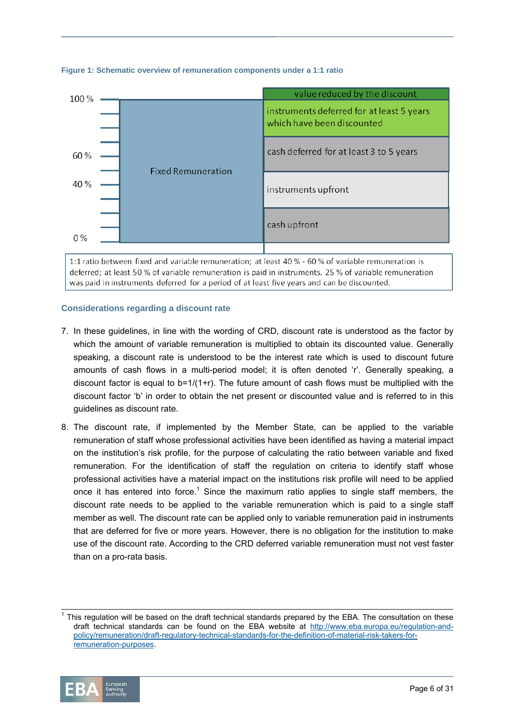

#### **Figure 1: Schematic overview of remuneration components under a 1:1 ratio**

1:1 ratio between fixed and variable remuneration; at least 40 % - 60 % of variable remuneration is deferred: at least 50 % of variable remuneration is paid in instruments. 25 % of variable remuneration was paid in instruments deferred for a period of at least five years and can be discounted.

#### **Considerations regarding a discount rate**

- 7. In these guidelines, in line with the wording of CRD, discount rate is understood as the factor by which the amount of variable remuneration is multiplied to obtain its discounted value. Generally speaking, a discount rate is understood to be the interest rate which is used to discount future amounts of cash flows in a multi-period model; it is often denoted 'r'. Generally speaking, a discount factor is equal to b=1/(1+r). The future amount of cash flows must be multiplied with the discount factor 'b' in order to obtain the net present or discounted value and is referred to in this guidelines as discount rate.
- 8. The discount rate, if implemented by the Member State, can be applied to the variable remuneration of staff whose professional activities have been identified as having a material impact on the institution's risk profile, for the purpose of calculating the ratio between variable and fixed remuneration. For the identification of staff the regulation on criteria to identify staff whose professional activities have a material impact on the institutions risk profile will need to be applied once it has entered into force.<sup>1</sup> Since the maximum ratio applies to single staff members, the discount rate needs to be applied to the variable remuneration which is paid to a single staff member as well. The discount rate can be applied only to variable remuneration paid in instruments that are deferred for five or more years. However, there is no obligation for the institution to make use of the discount rate. According to the CRD deferred variable remuneration must not vest faster than on a pro-rata basis.

<sup>-&</sup>lt;br>1 This regulation will be based on the draft technical standards prepared by the EBA. The consultation on these draft technical standards can be found on the EBA website at http://www.eba.europa.eu/regulation-andpolicy/remuneration/draft-regulatory-technical-standards-for-the-definition-of-material-risk-takers-forremuneration-purposes.

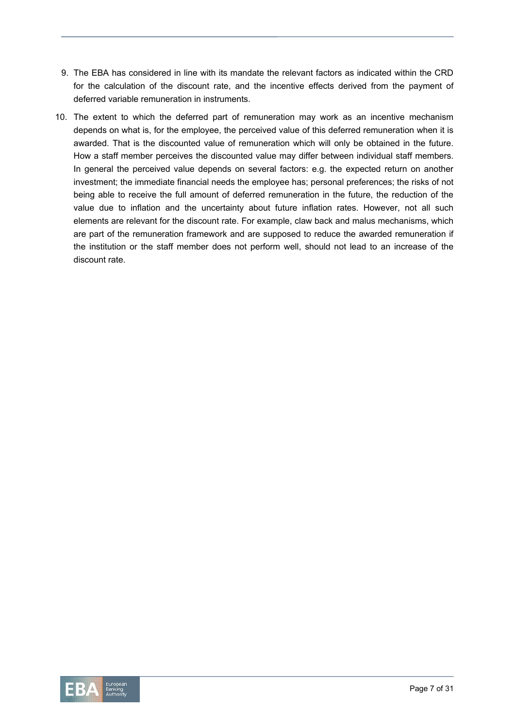- 9. The EBA has considered in line with its mandate the relevant factors as indicated within the CRD for the calculation of the discount rate, and the incentive effects derived from the payment of deferred variable remuneration in instruments.
- 10. The extent to which the deferred part of remuneration may work as an incentive mechanism depends on what is, for the employee, the perceived value of this deferred remuneration when it is awarded. That is the discounted value of remuneration which will only be obtained in the future. How a staff member perceives the discounted value may differ between individual staff members. In general the perceived value depends on several factors: e.g. the expected return on another investment; the immediate financial needs the employee has; personal preferences; the risks of not being able to receive the full amount of deferred remuneration in the future, the reduction of the value due to inflation and the uncertainty about future inflation rates. However, not all such elements are relevant for the discount rate. For example, claw back and malus mechanisms, which are part of the remuneration framework and are supposed to reduce the awarded remuneration if the institution or the staff member does not perform well, should not lead to an increase of the discount rate.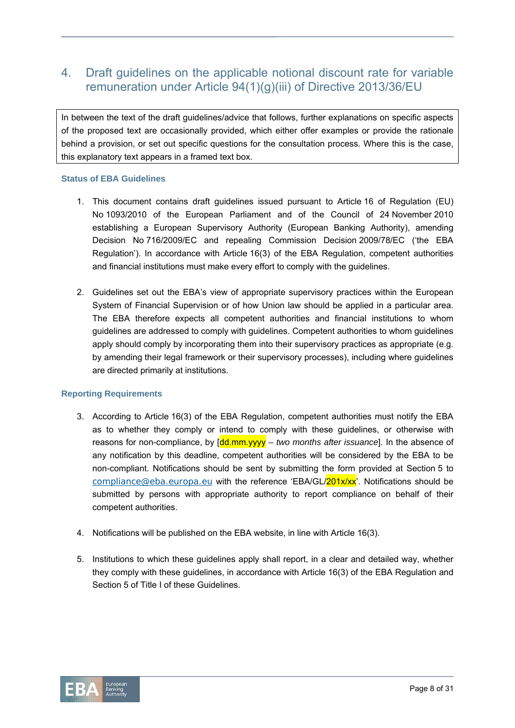# 4. Draft guidelines on the applicable notional discount rate for variable remuneration under Article 94(1)(g)(iii) of Directive 2013/36/EU

In between the text of the draft guidelines/advice that follows, further explanations on specific aspects of the proposed text are occasionally provided, which either offer examples or provide the rationale behind a provision, or set out specific questions for the consultation process. Where this is the case, this explanatory text appears in a framed text box.

#### **Status of EBA Guidelines**

- 1. This document contains draft guidelines issued pursuant to Article 16 of Regulation (EU) No 1093/2010 of the European Parliament and of the Council of 24 November 2010 establishing a European Supervisory Authority (European Banking Authority), amending Decision No 716/2009/EC and repealing Commission Decision 2009/78/EC ('the EBA Regulation'). In accordance with Article 16(3) of the EBA Regulation, competent authorities and financial institutions must make every effort to comply with the guidelines.
- 2. Guidelines set out the EBA's view of appropriate supervisory practices within the European System of Financial Supervision or of how Union law should be applied in a particular area. The EBA therefore expects all competent authorities and financial institutions to whom guidelines are addressed to comply with guidelines. Competent authorities to whom guidelines apply should comply by incorporating them into their supervisory practices as appropriate (e.g. by amending their legal framework or their supervisory processes), including where guidelines are directed primarily at institutions.

#### **Reporting Requirements**

- 3. According to Article 16(3) of the EBA Regulation, competent authorities must notify the EBA as to whether they comply or intend to comply with these guidelines, or otherwise with reasons for non-compliance, by [dd.mm.yyyy *– two months after issuance*]. In the absence of any notification by this deadline, competent authorities will be considered by the EBA to be non-compliant. Notifications should be sent by submitting the form provided at Section 5 to compliance@eba.europa.eu with the reference 'EBA/GL/ $201x/xx'$ . Notifications should be submitted by persons with appropriate authority to report compliance on behalf of their competent authorities.
- 4. Notifications will be published on the EBA website, in line with Article 16(3).
- 5. Institutions to which these guidelines apply shall report, in a clear and detailed way, whether they comply with these guidelines, in accordance with Article 16(3) of the EBA Regulation and Section 5 of Title I of these Guidelines.

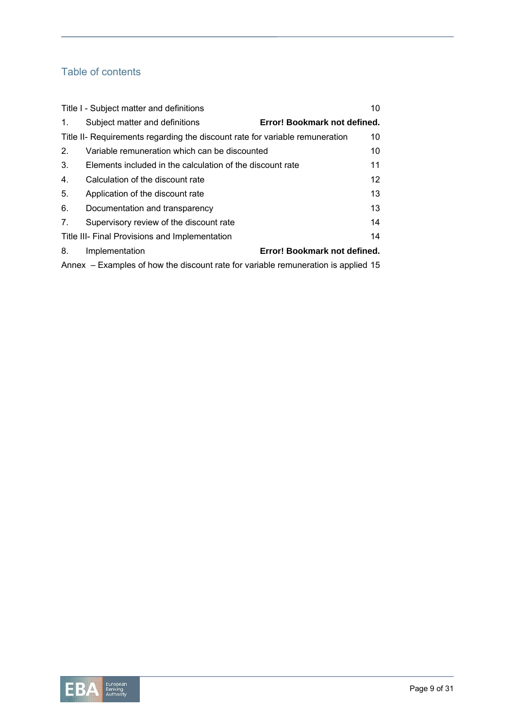# Table of contents

| 10<br>Title I - Subject matter and definitions                                     |                                                           |                              |  |  |
|------------------------------------------------------------------------------------|-----------------------------------------------------------|------------------------------|--|--|
| 1.                                                                                 | Subject matter and definitions                            | Error! Bookmark not defined. |  |  |
| Title II- Requirements regarding the discount rate for variable remuneration<br>10 |                                                           |                              |  |  |
| 2.                                                                                 | Variable remuneration which can be discounted             | 10                           |  |  |
| 3.                                                                                 | Elements included in the calculation of the discount rate | 11                           |  |  |
| 4.                                                                                 | Calculation of the discount rate                          | 12 <sup>2</sup>              |  |  |
| 5.                                                                                 | Application of the discount rate                          | 13                           |  |  |
| 6.                                                                                 | Documentation and transparency                            | 13                           |  |  |
| 7.                                                                                 | Supervisory review of the discount rate                   | 14                           |  |  |
| 14<br>Title III- Final Provisions and Implementation                               |                                                           |                              |  |  |
| 8.                                                                                 | Implementation                                            | Error! Bookmark not defined. |  |  |
| Annex – Examples of how the discount rate for variable remuneration is applied 15  |                                                           |                              |  |  |

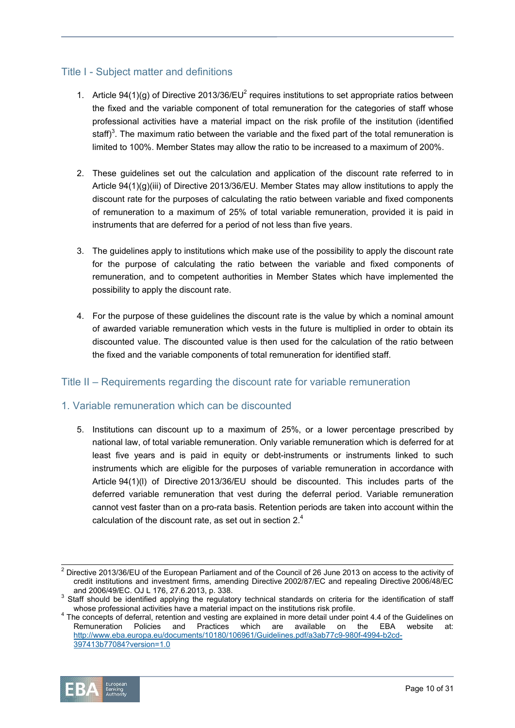## Title I - Subject matter and definitions

- 1. Article 94(1)(g) of Directive 2013/36/EU<sup>2</sup> requires institutions to set appropriate ratios between the fixed and the variable component of total remuneration for the categories of staff whose professional activities have a material impact on the risk profile of the institution (identified staff)<sup>3</sup>. The maximum ratio between the variable and the fixed part of the total remuneration is limited to 100%. Member States may allow the ratio to be increased to a maximum of 200%.
- 2. These guidelines set out the calculation and application of the discount rate referred to in Article 94(1)(g)(iii) of Directive 2013/36/EU. Member States may allow institutions to apply the discount rate for the purposes of calculating the ratio between variable and fixed components of remuneration to a maximum of 25% of total variable remuneration, provided it is paid in instruments that are deferred for a period of not less than five years.
- 3. The guidelines apply to institutions which make use of the possibility to apply the discount rate for the purpose of calculating the ratio between the variable and fixed components of remuneration, and to competent authorities in Member States which have implemented the possibility to apply the discount rate.
- 4. For the purpose of these guidelines the discount rate is the value by which a nominal amount of awarded variable remuneration which vests in the future is multiplied in order to obtain its discounted value. The discounted value is then used for the calculation of the ratio between the fixed and the variable components of total remuneration for identified staff.

### Title II – Requirements regarding the discount rate for variable remuneration

### 1. Variable remuneration which can be discounted

5. Institutions can discount up to a maximum of 25%, or a lower percentage prescribed by national law, of total variable remuneration. Only variable remuneration which is deferred for at least five years and is paid in equity or debt-instruments or instruments linked to such instruments which are eligible for the purposes of variable remuneration in accordance with Article 94(1)(l) of Directive 2013/36/EU should be discounted. This includes parts of the deferred variable remuneration that vest during the deferral period. Variable remuneration cannot vest faster than on a pro-rata basis. Retention periods are taken into account within the calculation of the discount rate, as set out in section  $2<sup>4</sup>$ 

 $4$  The concepts of deferral, retention and vesting are explained in more detail under point 4.4 of the Guidelines on Remuneration Policies and Practices which are available on the EBA website at: http://www.eba.europa.eu/documents/10180/106961/Guidelines.pdf/a3ab77c9-980f-4994-b2cd-397413b77084?version=1.0



 <sup>2</sup> Directive 2013/36/EU of the European Parliament and of the Council of 26 June 2013 on access to the activity of credit institutions and investment firms, amending Directive 2002/87/EC and repealing Directive 2006/48/EC and 2006/49/EC. OJ L 176, 27.6.2013, p. 338.

 $3$  Staff should be identified applying the regulatory technical standards on criteria for the identification of staff whose professional activities have a material impact on the institutions risk profile. 4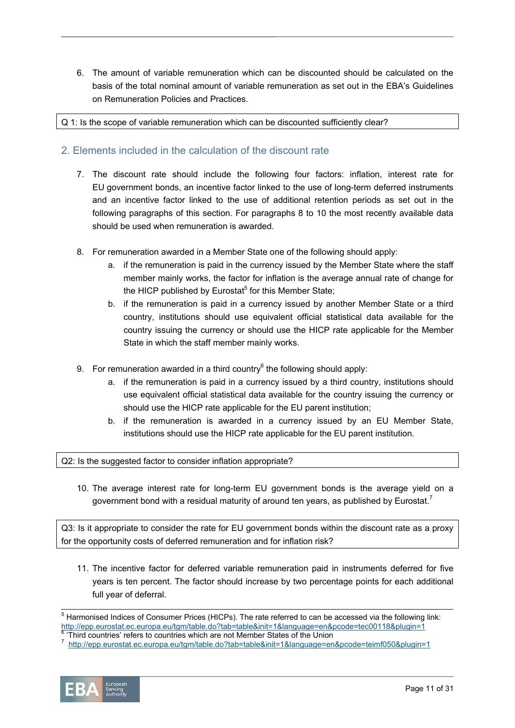6. The amount of variable remuneration which can be discounted should be calculated on the basis of the total nominal amount of variable remuneration as set out in the EBA's Guidelines on Remuneration Policies and Practices.

Q 1: Is the scope of variable remuneration which can be discounted sufficiently clear?

### 2. Elements included in the calculation of the discount rate

- 7. The discount rate should include the following four factors: inflation, interest rate for EU government bonds, an incentive factor linked to the use of long-term deferred instruments and an incentive factor linked to the use of additional retention periods as set out in the following paragraphs of this section. For paragraphs 8 to 10 the most recently available data should be used when remuneration is awarded.
- 8. For remuneration awarded in a Member State one of the following should apply:
	- a. if the remuneration is paid in the currency issued by the Member State where the staff member mainly works, the factor for inflation is the average annual rate of change for the HICP published by Eurostat<sup>5</sup> for this Member State;
	- b. if the remuneration is paid in a currency issued by another Member State or a third country, institutions should use equivalent official statistical data available for the country issuing the currency or should use the HICP rate applicable for the Member State in which the staff member mainly works.
- 9. For remuneration awarded in a third country $^6$  the following should apply:
	- a. if the remuneration is paid in a currency issued by a third country, institutions should use equivalent official statistical data available for the country issuing the currency or should use the HICP rate applicable for the EU parent institution;
	- b. if the remuneration is awarded in a currency issued by an EU Member State, institutions should use the HICP rate applicable for the EU parent institution.

Q2: Is the suggested factor to consider inflation appropriate?

10. The average interest rate for long-term EU government bonds is the average yield on a government bond with a residual maturity of around ten years, as published by Eurostat.<sup>7</sup>

Q3: Is it appropriate to consider the rate for EU government bonds within the discount rate as a proxy for the opportunity costs of deferred remuneration and for inflation risk?

11. The incentive factor for deferred variable remuneration paid in instruments deferred for five years is ten percent. The factor should increase by two percentage points for each additional full year of deferral.

<sup>&</sup>lt;sup>o</sup> 'Third countries' refers to countries which are not Member States of the Union<br>7. http://opp.ouroatet.co.ourope.ou/tam/table.do?tab=table?init=18lapguage=en http://epp.eurostat.ec.europa.eu/tgm/table.do?tab=table&init=1&language=en&pcode=teimf050&plugin=1



 <sup>5</sup> Harmonised Indices of Consumer Prices (HICPs). The rate referred to can be accessed via the following link: http://epp.eurostat.ec.europa.eu/tgm/table.do?tab=table&init=1&language=en&pcode=tec00118&plugin=1<br><sup>6</sup> 'Third equatrice' refers to equatrice which are not Member States of the Union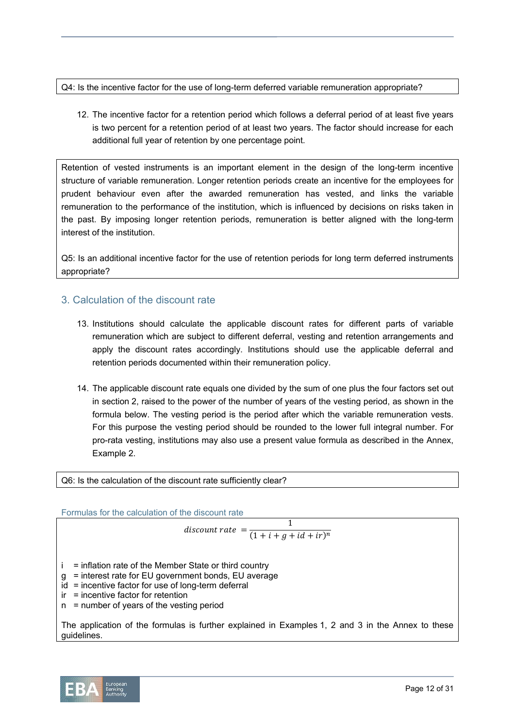Q4: Is the incentive factor for the use of long-term deferred variable remuneration appropriate?

12. The incentive factor for a retention period which follows a deferral period of at least five years is two percent for a retention period of at least two years. The factor should increase for each additional full year of retention by one percentage point.

Retention of vested instruments is an important element in the design of the long-term incentive structure of variable remuneration. Longer retention periods create an incentive for the employees for prudent behaviour even after the awarded remuneration has vested, and links the variable remuneration to the performance of the institution, which is influenced by decisions on risks taken in the past. By imposing longer retention periods, remuneration is better aligned with the long-term interest of the institution.

Q5: Is an additional incentive factor for the use of retention periods for long term deferred instruments appropriate?

## 3. Calculation of the discount rate

- 13. Institutions should calculate the applicable discount rates for different parts of variable remuneration which are subject to different deferral, vesting and retention arrangements and apply the discount rates accordingly. Institutions should use the applicable deferral and retention periods documented within their remuneration policy.
- 14. The applicable discount rate equals one divided by the sum of one plus the four factors set out in section 2, raised to the power of the number of years of the vesting period, as shown in the formula below. The vesting period is the period after which the variable remuneration vests. For this purpose the vesting period should be rounded to the lower full integral number. For pro-rata vesting, institutions may also use a present value formula as described in the Annex, Example 2.

Q6: Is the calculation of the discount rate sufficiently clear?

Formulas for the calculation of the discount rate

$$
discount\ rate = \frac{1}{(1+i+g+id+ir)^n}
$$

 $i =$  inflation rate of the Member State or third country

- g = interest rate for EU government bonds, EU average
- $id$  = incentive factor for use of long-term deferral
- ir = incentive factor for retention
- n = number of years of the vesting period

The application of the formulas is further explained in Examples 1, 2 and 3 in the Annex to these guidelines.

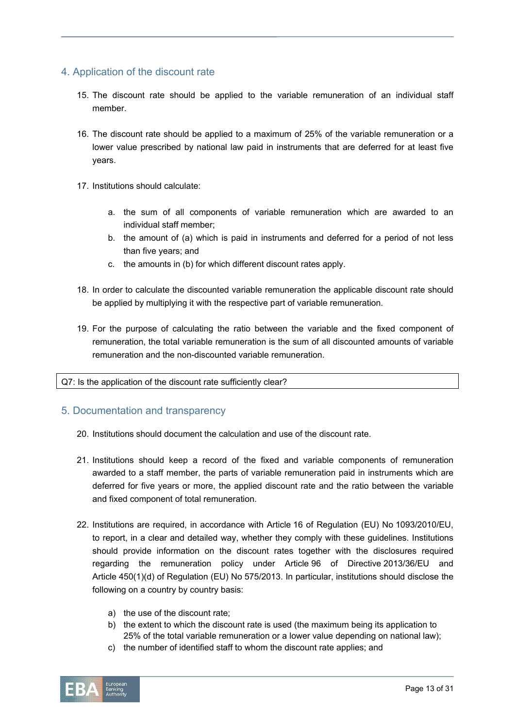### 4. Application of the discount rate

- 15. The discount rate should be applied to the variable remuneration of an individual staff member.
- 16. The discount rate should be applied to a maximum of 25% of the variable remuneration or a lower value prescribed by national law paid in instruments that are deferred for at least five years.
- 17. Institutions should calculate:
	- a. the sum of all components of variable remuneration which are awarded to an individual staff member;
	- b. the amount of (a) which is paid in instruments and deferred for a period of not less than five years; and
	- c. the amounts in (b) for which different discount rates apply.
- 18. In order to calculate the discounted variable remuneration the applicable discount rate should be applied by multiplying it with the respective part of variable remuneration.
- 19. For the purpose of calculating the ratio between the variable and the fixed component of remuneration, the total variable remuneration is the sum of all discounted amounts of variable remuneration and the non-discounted variable remuneration.

#### Q7: Is the application of the discount rate sufficiently clear?

#### 5. Documentation and transparency

- 20. Institutions should document the calculation and use of the discount rate.
- 21. Institutions should keep a record of the fixed and variable components of remuneration awarded to a staff member, the parts of variable remuneration paid in instruments which are deferred for five years or more, the applied discount rate and the ratio between the variable and fixed component of total remuneration.
- 22. Institutions are required, in accordance with Article 16 of Regulation (EU) No 1093/2010/EU, to report, in a clear and detailed way, whether they comply with these guidelines. Institutions should provide information on the discount rates together with the disclosures required regarding the remuneration policy under Article 96 of Directive 2013/36/EU and Article 450(1)(d) of Regulation (EU) No 575/2013. In particular, institutions should disclose the following on a country by country basis:
	- a) the use of the discount rate;
	- b) the extent to which the discount rate is used (the maximum being its application to 25% of the total variable remuneration or a lower value depending on national law);
	- c) the number of identified staff to whom the discount rate applies; and

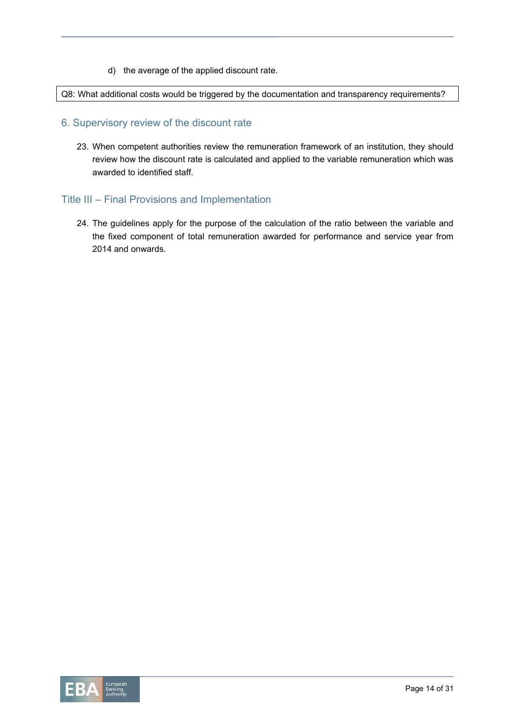d) the average of the applied discount rate.

Q8: What additional costs would be triggered by the documentation and transparency requirements?

#### 6. Supervisory review of the discount rate

23. When competent authorities review the remuneration framework of an institution, they should review how the discount rate is calculated and applied to the variable remuneration which was awarded to identified staff.

### Title III – Final Provisions and Implementation

24. The guidelines apply for the purpose of the calculation of the ratio between the variable and the fixed component of total remuneration awarded for performance and service year from 2014 and onwards.

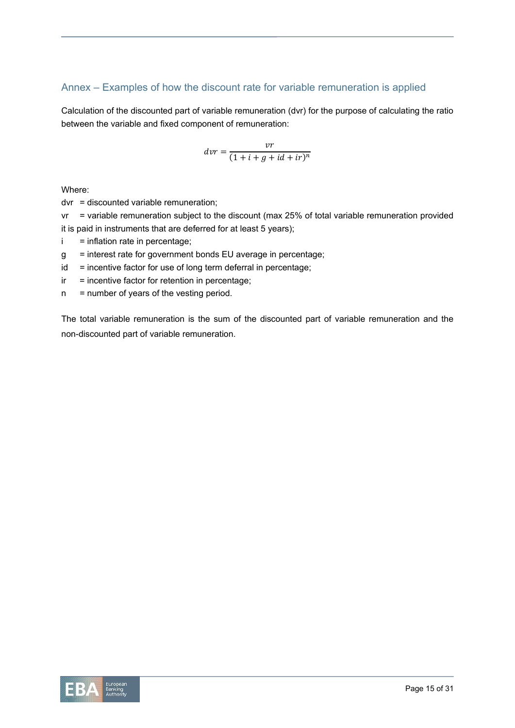# Annex – Examples of how the discount rate for variable remuneration is applied

Calculation of the discounted part of variable remuneration (dvr) for the purpose of calculating the ratio between the variable and fixed component of remuneration:

$$
dvr = \frac{vr}{(1+i+g+id+ir)^n}
$$

Where:

dvr = discounted variable remuneration;

vr = variable remuneration subject to the discount (max 25% of total variable remuneration provided it is paid in instruments that are deferred for at least 5 years);

- $i = inflation$  rate in percentage;
- g = interest rate for government bonds EU average in percentage;
- $id$  = incentive factor for use of long term deferral in percentage;
- $ir =$  incentive factor for retention in percentage;
- $n =$  number of years of the vesting period.

The total variable remuneration is the sum of the discounted part of variable remuneration and the non-discounted part of variable remuneration.

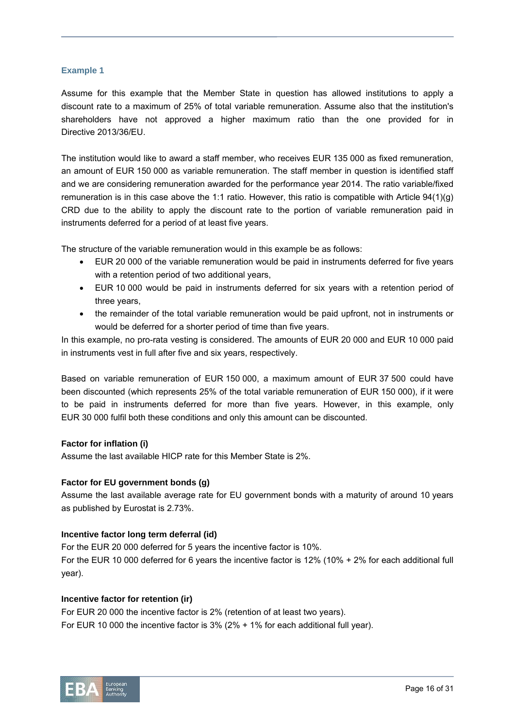#### **Example 1**

Assume for this example that the Member State in question has allowed institutions to apply a discount rate to a maximum of 25% of total variable remuneration. Assume also that the institution's shareholders have not approved a higher maximum ratio than the one provided for in Directive 2013/36/EU.

The institution would like to award a staff member, who receives EUR 135 000 as fixed remuneration, an amount of EUR 150 000 as variable remuneration. The staff member in question is identified staff and we are considering remuneration awarded for the performance year 2014. The ratio variable/fixed remuneration is in this case above the 1:1 ratio. However, this ratio is compatible with Article 94(1)(g) CRD due to the ability to apply the discount rate to the portion of variable remuneration paid in instruments deferred for a period of at least five years.

The structure of the variable remuneration would in this example be as follows:

- EUR 20 000 of the variable remuneration would be paid in instruments deferred for five years with a retention period of two additional years,
- EUR 10 000 would be paid in instruments deferred for six years with a retention period of three years,
- the remainder of the total variable remuneration would be paid upfront, not in instruments or would be deferred for a shorter period of time than five years.

In this example, no pro-rata vesting is considered. The amounts of EUR 20 000 and EUR 10 000 paid in instruments vest in full after five and six years, respectively.

Based on variable remuneration of EUR 150 000, a maximum amount of EUR 37 500 could have been discounted (which represents 25% of the total variable remuneration of EUR 150 000), if it were to be paid in instruments deferred for more than five years. However, in this example, only EUR 30 000 fulfil both these conditions and only this amount can be discounted.

#### **Factor for inflation (i)**

Assume the last available HICP rate for this Member State is 2%.

#### **Factor for EU government bonds (g)**

Assume the last available average rate for EU government bonds with a maturity of around 10 years as published by Eurostat is 2.73%.

#### **Incentive factor long term deferral (id)**

For the EUR 20 000 deferred for 5 years the incentive factor is 10%. For the EUR 10 000 deferred for 6 years the incentive factor is 12% (10% + 2% for each additional full year).

#### **Incentive factor for retention (ir)**

For EUR 20 000 the incentive factor is 2% (retention of at least two years). For EUR 10 000 the incentive factor is 3% (2% + 1% for each additional full year).

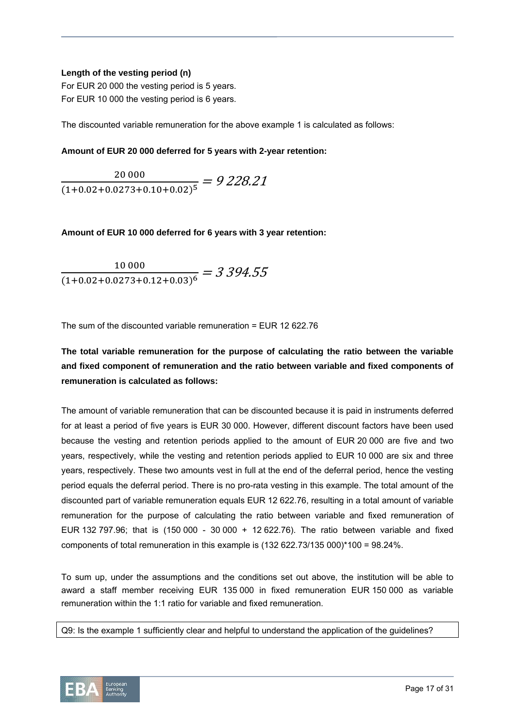#### **Length of the vesting period (n)**

For EUR 20 000 the vesting period is 5 years. For EUR 10 000 the vesting period is 6 years.

The discounted variable remuneration for the above example 1 is calculated as follows:

#### **Amount of EUR 20 000 deferred for 5 years with 2-year retention:**

 $\frac{20\,000}{(1+0.02+0.0273+0.10+0.02)^5} = 9\,228.21$ 

**Amount of EUR 10 000 deferred for 6 years with 3 year retention:** 

$$
\frac{10\,000}{(1+0.02+0.0273+0.12+0.03)^6} = 3\,394.55
$$

The sum of the discounted variable remuneration = EUR 12 622.76

# **The total variable remuneration for the purpose of calculating the ratio between the variable and fixed component of remuneration and the ratio between variable and fixed components of remuneration is calculated as follows:**

The amount of variable remuneration that can be discounted because it is paid in instruments deferred for at least a period of five years is EUR 30 000. However, different discount factors have been used because the vesting and retention periods applied to the amount of EUR 20 000 are five and two years, respectively, while the vesting and retention periods applied to EUR 10 000 are six and three years, respectively. These two amounts vest in full at the end of the deferral period, hence the vesting period equals the deferral period. There is no pro-rata vesting in this example. The total amount of the discounted part of variable remuneration equals EUR 12 622.76, resulting in a total amount of variable remuneration for the purpose of calculating the ratio between variable and fixed remuneration of EUR 132 797.96; that is (150 000 - 30 000 + 12 622.76). The ratio between variable and fixed components of total remuneration in this example is (132 622.73/135 000)\*100 = 98.24%.

To sum up, under the assumptions and the conditions set out above, the institution will be able to award a staff member receiving EUR 135 000 in fixed remuneration EUR 150 000 as variable remuneration within the 1:1 ratio for variable and fixed remuneration.

Q9: Is the example 1 sufficiently clear and helpful to understand the application of the guidelines?

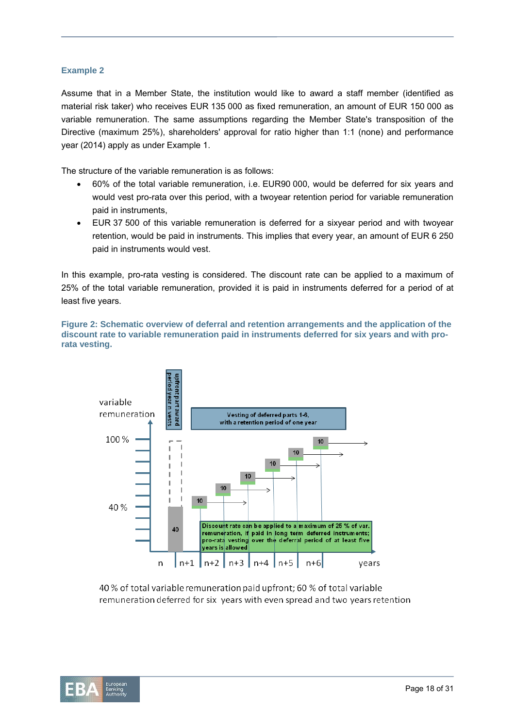#### **Example 2**

Assume that in a Member State, the institution would like to award a staff member (identified as material risk taker) who receives EUR 135 000 as fixed remuneration, an amount of EUR 150 000 as variable remuneration. The same assumptions regarding the Member State's transposition of the Directive (maximum 25%), shareholders' approval for ratio higher than 1:1 (none) and performance year (2014) apply as under Example 1.

The structure of the variable remuneration is as follows:

- 60% of the total variable remuneration, i.e. EUR90 000, would be deferred for six years and would vest pro-rata over this period, with a twoyear retention period for variable remuneration paid in instruments,
- EUR 37 500 of this variable remuneration is deferred for a sixyear period and with twoyear retention, would be paid in instruments. This implies that every year, an amount of EUR 6 250 paid in instruments would vest.

In this example, pro-rata vesting is considered. The discount rate can be applied to a maximum of 25% of the total variable remuneration, provided it is paid in instruments deferred for a period of at least five years.

**Figure 2: Schematic overview of deferral and retention arrangements and the application of the discount rate to variable remuneration paid in instruments deferred for six years and with prorata vesting.**



40 % of total variable remuneration paid upfront; 60 % of total variable remuneration deferred for six years with even spread and two years retention

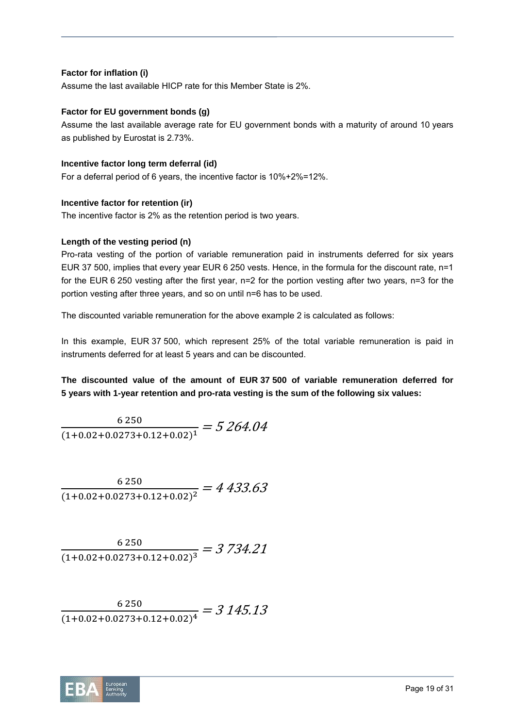#### **Factor for inflation (i)**

Assume the last available HICP rate for this Member State is 2%.

#### **Factor for EU government bonds (g)**

Assume the last available average rate for EU government bonds with a maturity of around 10 years as published by Eurostat is 2.73%.

#### **Incentive factor long term deferral (id)**

For a deferral period of 6 years, the incentive factor is 10%+2%=12%.

#### **Incentive factor for retention (ir)**

The incentive factor is 2% as the retention period is two years.

#### **Length of the vesting period (n)**

Pro-rata vesting of the portion of variable remuneration paid in instruments deferred for six years EUR 37 500, implies that every year EUR 6 250 vests. Hence, in the formula for the discount rate, n=1 for the EUR 6 250 vesting after the first year, n=2 for the portion vesting after two years, n=3 for the portion vesting after three years, and so on until n=6 has to be used.

The discounted variable remuneration for the above example 2 is calculated as follows:

In this example, EUR 37 500, which represent 25% of the total variable remuneration is paid in instruments deferred for at least 5 years and can be discounted.

**The discounted value of the amount of EUR 37 500 of variable remuneration deferred for 5 years with 1-year retention and pro-rata vesting is the sum of the following six values:** 

$$
\frac{6\,250}{(1+0.02+0.0273+0.12+0.02)^1} = 5\,264.04
$$

$$
\frac{6\,250}{(1+0.02+0.0273+0.12+0.02)^2} = 4\,433.63
$$

$$
\frac{6\,250}{(1+0.02+0.0273+0.12+0.02)^3} = 3\,734.21
$$

6 2 5 0  $\frac{1}{(1+0.02+0.0273+0.12+0.02)^4} = 3\,145.13$ 

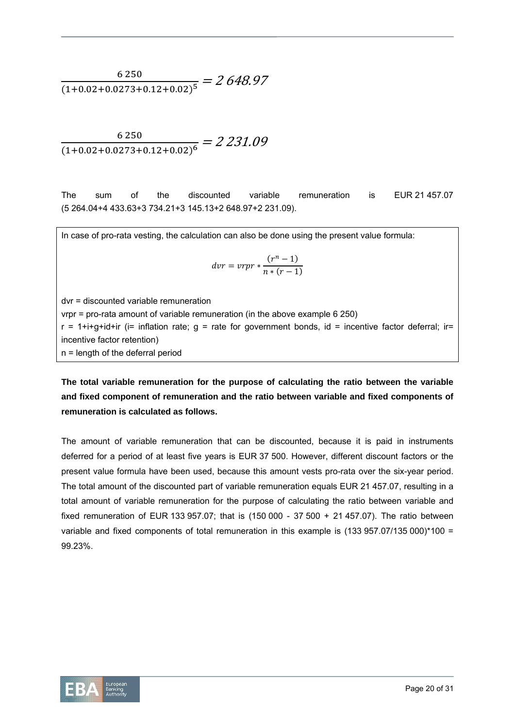6 2 5 0  $\frac{(1+0.02+0.0273+0.12+0.02)^5}{(1+0.02+0.0273+0.12+0.02)^5} = 2648.97$ 

 $\frac{6\,250}{(1+0.02+0.0273+0.12+0.02)^6} = 2\,231.09$ 

The sum of the discounted variable remuneration is EUR 21 457.07 (5 264.04+4 433.63+3 734.21+3 145.13+2 648.97+2 231.09).

In case of pro-rata vesting, the calculation can also be done using the present value formula:

$$
dvr = vrrr * \frac{(r^n - 1)}{n * (r - 1)}
$$

dvr = discounted variable remuneration vrpr = pro-rata amount of variable remuneration (in the above example 6 250)  $r = 1+i+q+i$ d+ir (i= inflation rate; q = rate for government bonds, id = incentive factor deferral; ir= incentive factor retention) n = length of the deferral period

**The total variable remuneration for the purpose of calculating the ratio between the variable and fixed component of remuneration and the ratio between variable and fixed components of remuneration is calculated as follows.** 

The amount of variable remuneration that can be discounted, because it is paid in instruments deferred for a period of at least five years is EUR 37 500. However, different discount factors or the present value formula have been used, because this amount vests pro-rata over the six-year period. The total amount of the discounted part of variable remuneration equals EUR 21 457.07, resulting in a total amount of variable remuneration for the purpose of calculating the ratio between variable and fixed remuneration of EUR 133 957.07; that is (150 000 - 37 500 + 21 457.07). The ratio between variable and fixed components of total remuneration in this example is (133 957.07/135 000)\*100 = 99.23%.

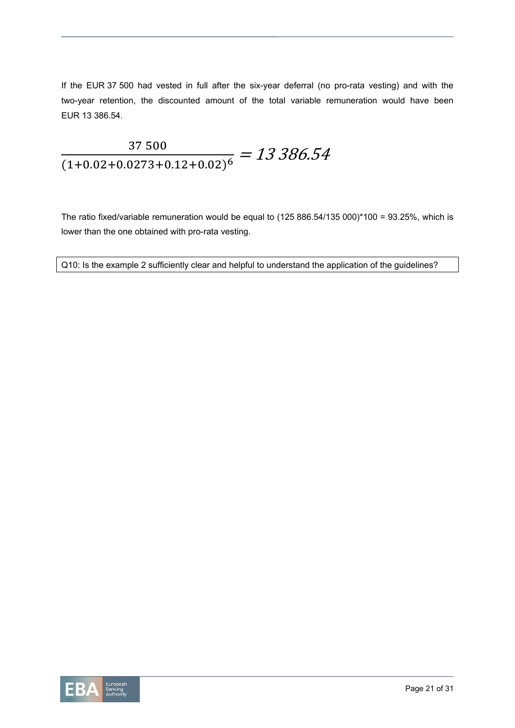If the EUR 37 500 had vested in full after the six-year deferral (no pro-rata vesting) and with the two-year retention, the discounted amount of the total variable remuneration would have been EUR 13 386.54.

# 37500  $\frac{37\,300}{(1+0.02+0.0273+0.12+0.02)^6} = 13\,386.54$

The ratio fixed/variable remuneration would be equal to (125 886.54/135 000)\*100 = 93.25%, which is lower than the one obtained with pro-rata vesting.

Q10: Is the example 2 sufficiently clear and helpful to understand the application of the guidelines?

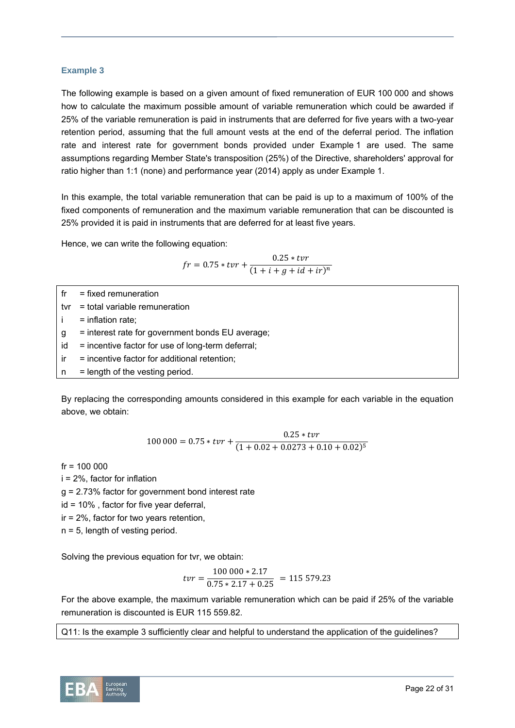#### **Example 3**

The following example is based on a given amount of fixed remuneration of EUR 100 000 and shows how to calculate the maximum possible amount of variable remuneration which could be awarded if 25% of the variable remuneration is paid in instruments that are deferred for five years with a two-year retention period, assuming that the full amount vests at the end of the deferral period. The inflation rate and interest rate for government bonds provided under Example 1 are used. The same assumptions regarding Member State's transposition (25%) of the Directive, shareholders' approval for ratio higher than 1:1 (none) and performance year (2014) apply as under Example 1.

In this example, the total variable remuneration that can be paid is up to a maximum of 100% of the fixed components of remuneration and the maximum variable remuneration that can be discounted is 25% provided it is paid in instruments that are deferred for at least five years.

Hence, we can write the following equation:

$$
fr = 0.75 * tvr + \frac{0.25 * tvr}{(1 + i + g + id + ir)^n}
$$

- $fr = fixed$  remuneration
- tvr = total variable remuneration
- $=$  inflation rate:
- g = interest rate for government bonds EU average;
- $id$  = incentive factor for use of long-term deferral;
- $ir =$  incentive factor for additional retention;
- $n = length of the vesting period.$

By replacing the corresponding amounts considered in this example for each variable in the equation above, we obtain:

$$
100\,000 = 0.75 \times tvr + \frac{0.25 \times tvr}{(1 + 0.02 + 0.0273 + 0.10 + 0.02)^5}
$$

 $fr = 100000$ 

- i = 2%, factor for inflation
- g = 2.73% factor for government bond interest rate
- id = 10% , factor for five year deferral,
- ir = 2%, factor for two years retention,
- n = 5, length of vesting period.

Solving the previous equation for tvr, we obtain:

$$
tvr = \frac{100\,000 * 2.17}{0.75 * 2.17 + 0.25} = 115\,579.23
$$

For the above example, the maximum variable remuneration which can be paid if 25% of the variable remuneration is discounted is EUR 115 559.82.

Q11: Is the example 3 sufficiently clear and helpful to understand the application of the guidelines?

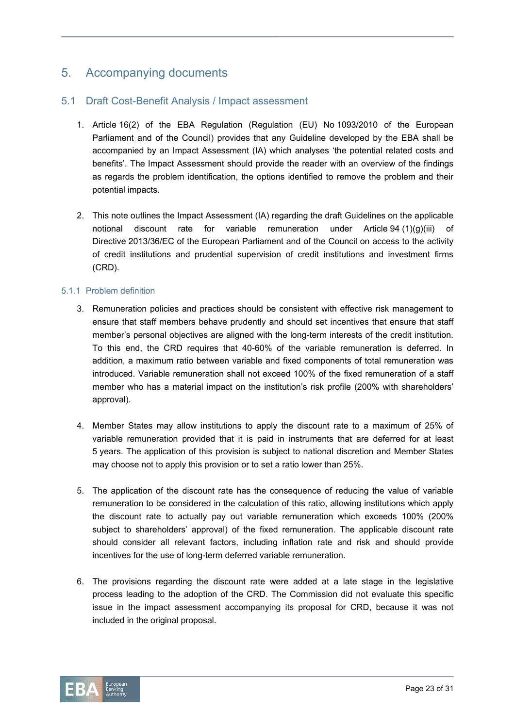# 5. Accompanying documents

## 5.1 Draft Cost-Benefit Analysis / Impact assessment

- 1. Article 16(2) of the EBA Regulation (Regulation (EU) No 1093/2010 of the European Parliament and of the Council) provides that any Guideline developed by the EBA shall be accompanied by an Impact Assessment (IA) which analyses 'the potential related costs and benefits'. The Impact Assessment should provide the reader with an overview of the findings as regards the problem identification, the options identified to remove the problem and their potential impacts.
- 2. This note outlines the Impact Assessment (IA) regarding the draft Guidelines on the applicable notional discount rate for variable remuneration under Article 94 (1)(g)(iii) of Directive 2013/36/EC of the European Parliament and of the Council on access to the activity of credit institutions and prudential supervision of credit institutions and investment firms (CRD).

#### 5.1.1 Problem definition

- 3. Remuneration policies and practices should be consistent with effective risk management to ensure that staff members behave prudently and should set incentives that ensure that staff member's personal objectives are aligned with the long-term interests of the credit institution. To this end, the CRD requires that 40-60% of the variable remuneration is deferred. In addition, a maximum ratio between variable and fixed components of total remuneration was introduced. Variable remuneration shall not exceed 100% of the fixed remuneration of a staff member who has a material impact on the institution's risk profile (200% with shareholders' approval).
- 4. Member States may allow institutions to apply the discount rate to a maximum of 25% of variable remuneration provided that it is paid in instruments that are deferred for at least 5 years. The application of this provision is subject to national discretion and Member States may choose not to apply this provision or to set a ratio lower than 25%.
- 5. The application of the discount rate has the consequence of reducing the value of variable remuneration to be considered in the calculation of this ratio, allowing institutions which apply the discount rate to actually pay out variable remuneration which exceeds 100% (200% subject to shareholders' approval) of the fixed remuneration. The applicable discount rate should consider all relevant factors, including inflation rate and risk and should provide incentives for the use of long-term deferred variable remuneration.
- 6. The provisions regarding the discount rate were added at a late stage in the legislative process leading to the adoption of the CRD. The Commission did not evaluate this specific issue in the impact assessment accompanying its proposal for CRD, because it was not included in the original proposal.

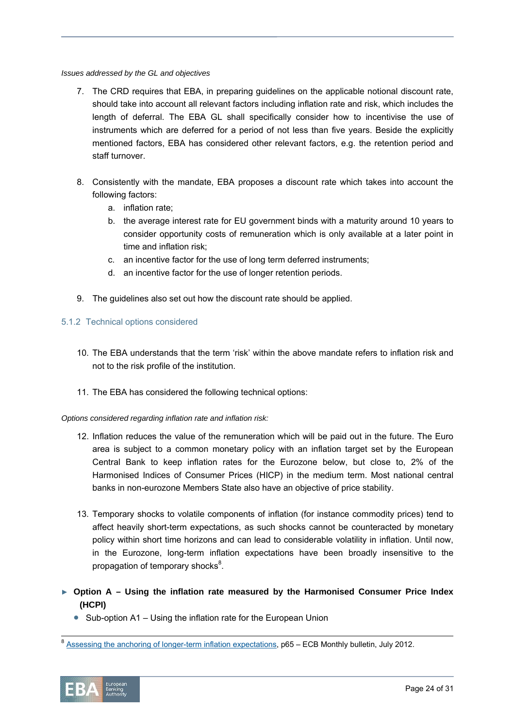#### *Issues addressed by the GL and objectives*

- 7. The CRD requires that EBA, in preparing guidelines on the applicable notional discount rate, should take into account all relevant factors including inflation rate and risk, which includes the length of deferral. The EBA GL shall specifically consider how to incentivise the use of instruments which are deferred for a period of not less than five years. Beside the explicitly mentioned factors, EBA has considered other relevant factors, e.g. the retention period and staff turnover.
- 8. Consistently with the mandate, EBA proposes a discount rate which takes into account the following factors:
	- a. inflation rate;
	- b. the average interest rate for EU government binds with a maturity around 10 years to consider opportunity costs of remuneration which is only available at a later point in time and inflation risk;
	- c. an incentive factor for the use of long term deferred instruments;
	- d. an incentive factor for the use of longer retention periods.
- 9. The guidelines also set out how the discount rate should be applied.

#### 5.1.2 Technical options considered

- 10. The EBA understands that the term 'risk' within the above mandate refers to inflation risk and not to the risk profile of the institution.
- 11. The EBA has considered the following technical options:

#### *Options considered regarding inflation rate and inflation risk:*

- 12. Inflation reduces the value of the remuneration which will be paid out in the future. The Euro area is subject to a common monetary policy with an inflation target set by the European Central Bank to keep inflation rates for the Eurozone below, but close to, 2% of the Harmonised Indices of Consumer Prices (HICP) in the medium term. Most national central banks in non-eurozone Members State also have an objective of price stability.
- 13. Temporary shocks to volatile components of inflation (for instance commodity prices) tend to affect heavily short-term expectations, as such shocks cannot be counteracted by monetary policy within short time horizons and can lead to considerable volatility in inflation. Until now, in the Eurozone, long-term inflation expectations have been broadly insensitive to the propagation of temporary shocks<sup>8</sup>.
- ► **Option A Using the inflation rate measured by the Harmonised Consumer Price Index (HCPI)** 
	- Sub-option A1 Using the inflation rate for the European Union

<sup>8</sup> Assessing the anchoring of longer-term inflation expectations, p65 – ECB Monthly bulletin, July 2012.

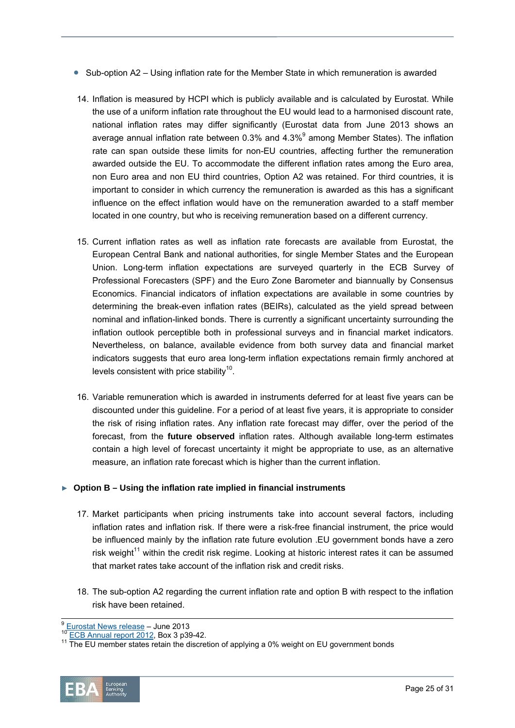- $\bullet$  Sub-option A2 Using inflation rate for the Member State in which remuneration is awarded
- 14. Inflation is measured by HCPI which is publicly available and is calculated by Eurostat. While the use of a uniform inflation rate throughout the EU would lead to a harmonised discount rate, national inflation rates may differ significantly (Eurostat data from June 2013 shows an average annual inflation rate between 0.3% and 4.3% $9$  among Member States). The inflation rate can span outside these limits for non-EU countries, affecting further the remuneration awarded outside the EU. To accommodate the different inflation rates among the Euro area, non Euro area and non EU third countries, Option A2 was retained. For third countries, it is important to consider in which currency the remuneration is awarded as this has a significant influence on the effect inflation would have on the remuneration awarded to a staff member located in one country, but who is receiving remuneration based on a different currency.
- 15. Current inflation rates as well as inflation rate forecasts are available from Eurostat, the European Central Bank and national authorities, for single Member States and the European Union. Long-term inflation expectations are surveyed quarterly in the ECB Survey of Professional Forecasters (SPF) and the Euro Zone Barometer and biannually by Consensus Economics. Financial indicators of inflation expectations are available in some countries by determining the break-even inflation rates (BEIRs), calculated as the yield spread between nominal and inflation-linked bonds. There is currently a significant uncertainty surrounding the inflation outlook perceptible both in professional surveys and in financial market indicators. Nevertheless, on balance, available evidence from both survey data and financial market indicators suggests that euro area long-term inflation expectations remain firmly anchored at levels consistent with price stability<sup>10</sup>.
- 16. Variable remuneration which is awarded in instruments deferred for at least five years can be discounted under this guideline. For a period of at least five years, it is appropriate to consider the risk of rising inflation rates. Any inflation rate forecast may differ, over the period of the forecast, from the **future observed** inflation rates. Although available long-term estimates contain a high level of forecast uncertainty it might be appropriate to use, as an alternative measure, an inflation rate forecast which is higher than the current inflation.

#### ► **Option B – Using the inflation rate implied in financial instruments**

- 17. Market participants when pricing instruments take into account several factors, including inflation rates and inflation risk. If there were a risk-free financial instrument, the price would be influenced mainly by the inflation rate future evolution .EU government bonds have a zero risk weight<sup>11</sup> within the credit risk regime. Looking at historic interest rates it can be assumed that market rates take account of the inflation risk and credit risks.
- 18. The sub-option A2 regarding the current inflation rate and option B with respect to the inflation risk have been retained.

 $\frac{9}{10}$  Eurostat News release – June 2013<br><sup>10</sup> ECB Annual report 2012, Box 3 p39-42.<br><sup>11</sup> The EU member states retain the discretion of applying a 0% weight on EU government bonds

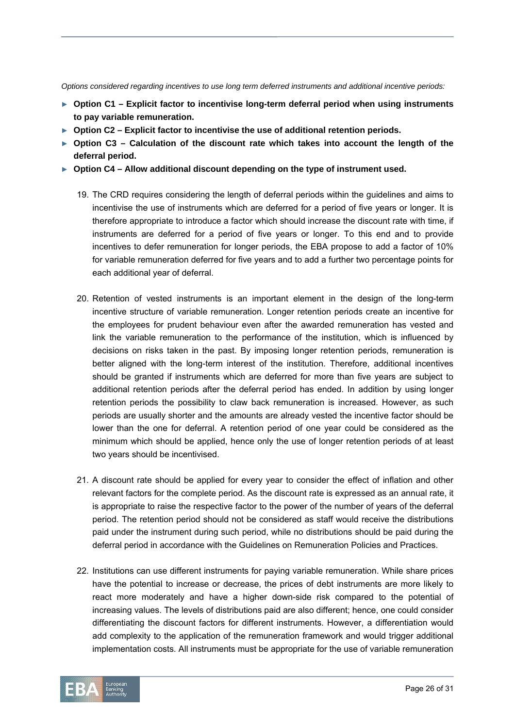*Options considered regarding incentives to use long term deferred instruments and additional incentive periods:* 

- ► **Option C1 Explicit factor to incentivise long-term deferral period when using instruments to pay variable remuneration.**
- ► **Option C2 Explicit factor to incentivise the use of additional retention periods.**
- ► **Option C3 Calculation of the discount rate which takes into account the length of the deferral period.**
- ► **Option C4 Allow additional discount depending on the type of instrument used.** 
	- 19. The CRD requires considering the length of deferral periods within the guidelines and aims to incentivise the use of instruments which are deferred for a period of five years or longer. It is therefore appropriate to introduce a factor which should increase the discount rate with time, if instruments are deferred for a period of five years or longer. To this end and to provide incentives to defer remuneration for longer periods, the EBA propose to add a factor of 10% for variable remuneration deferred for five years and to add a further two percentage points for each additional year of deferral.
	- 20. Retention of vested instruments is an important element in the design of the long-term incentive structure of variable remuneration. Longer retention periods create an incentive for the employees for prudent behaviour even after the awarded remuneration has vested and link the variable remuneration to the performance of the institution, which is influenced by decisions on risks taken in the past. By imposing longer retention periods, remuneration is better aligned with the long-term interest of the institution. Therefore, additional incentives should be granted if instruments which are deferred for more than five years are subject to additional retention periods after the deferral period has ended. In addition by using longer retention periods the possibility to claw back remuneration is increased. However, as such periods are usually shorter and the amounts are already vested the incentive factor should be lower than the one for deferral. A retention period of one year could be considered as the minimum which should be applied, hence only the use of longer retention periods of at least two years should be incentivised.
	- 21. A discount rate should be applied for every year to consider the effect of inflation and other relevant factors for the complete period. As the discount rate is expressed as an annual rate, it is appropriate to raise the respective factor to the power of the number of years of the deferral period. The retention period should not be considered as staff would receive the distributions paid under the instrument during such period, while no distributions should be paid during the deferral period in accordance with the Guidelines on Remuneration Policies and Practices.
	- 22. Institutions can use different instruments for paying variable remuneration. While share prices have the potential to increase or decrease, the prices of debt instruments are more likely to react more moderately and have a higher down-side risk compared to the potential of increasing values. The levels of distributions paid are also different; hence, one could consider differentiating the discount factors for different instruments. However, a differentiation would add complexity to the application of the remuneration framework and would trigger additional implementation costs. All instruments must be appropriate for the use of variable remuneration

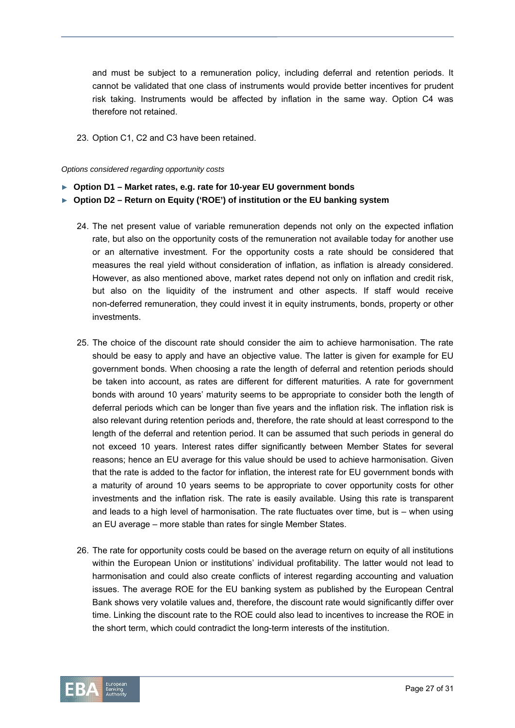and must be subject to a remuneration policy, including deferral and retention periods. It cannot be validated that one class of instruments would provide better incentives for prudent risk taking. Instruments would be affected by inflation in the same way. Option C4 was therefore not retained.

23. Option C1, C2 and C3 have been retained.

#### *Options considered regarding opportunity costs*

- ► **Option D1 Market rates, e.g. rate for 10-year EU government bonds**
- ► **Option D2 Return on Equity ('ROE') of institution or the EU banking system** 
	- 24. The net present value of variable remuneration depends not only on the expected inflation rate, but also on the opportunity costs of the remuneration not available today for another use or an alternative investment. For the opportunity costs a rate should be considered that measures the real yield without consideration of inflation, as inflation is already considered. However, as also mentioned above, market rates depend not only on inflation and credit risk, but also on the liquidity of the instrument and other aspects. If staff would receive non-deferred remuneration, they could invest it in equity instruments, bonds, property or other investments.
	- 25. The choice of the discount rate should consider the aim to achieve harmonisation. The rate should be easy to apply and have an objective value. The latter is given for example for EU government bonds. When choosing a rate the length of deferral and retention periods should be taken into account, as rates are different for different maturities. A rate for government bonds with around 10 years' maturity seems to be appropriate to consider both the length of deferral periods which can be longer than five years and the inflation risk. The inflation risk is also relevant during retention periods and, therefore, the rate should at least correspond to the length of the deferral and retention period. It can be assumed that such periods in general do not exceed 10 years. Interest rates differ significantly between Member States for several reasons; hence an EU average for this value should be used to achieve harmonisation. Given that the rate is added to the factor for inflation, the interest rate for EU government bonds with a maturity of around 10 years seems to be appropriate to cover opportunity costs for other investments and the inflation risk. The rate is easily available. Using this rate is transparent and leads to a high level of harmonisation. The rate fluctuates over time, but is – when using an EU average – more stable than rates for single Member States.
	- 26. The rate for opportunity costs could be based on the average return on equity of all institutions within the European Union or institutions' individual profitability. The latter would not lead to harmonisation and could also create conflicts of interest regarding accounting and valuation issues. The average ROE for the EU banking system as published by the European Central Bank shows very volatile values and, therefore, the discount rate would significantly differ over time. Linking the discount rate to the ROE could also lead to incentives to increase the ROE in the short term, which could contradict the long-term interests of the institution.

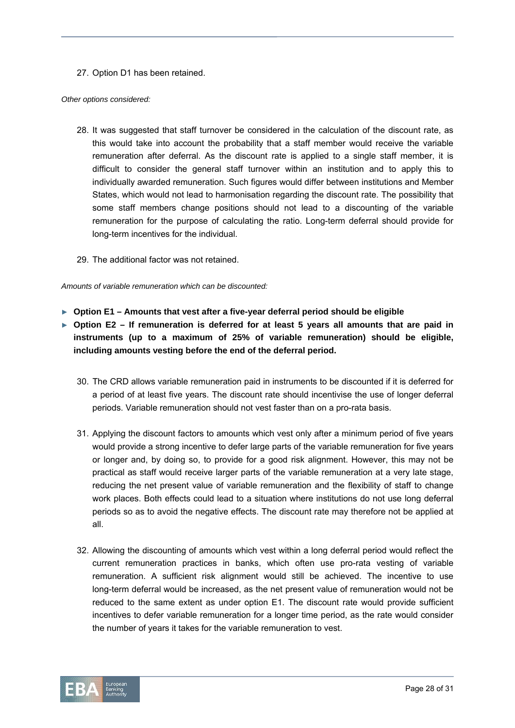27. Option D1 has been retained.

#### *Other options considered:*

- 28. It was suggested that staff turnover be considered in the calculation of the discount rate, as this would take into account the probability that a staff member would receive the variable remuneration after deferral. As the discount rate is applied to a single staff member, it is difficult to consider the general staff turnover within an institution and to apply this to individually awarded remuneration. Such figures would differ between institutions and Member States, which would not lead to harmonisation regarding the discount rate. The possibility that some staff members change positions should not lead to a discounting of the variable remuneration for the purpose of calculating the ratio. Long-term deferral should provide for long-term incentives for the individual.
- 29. The additional factor was not retained.

*Amounts of variable remuneration which can be discounted:* 

- ► **Option E1 Amounts that vest after a five-year deferral period should be eligible**
- ► **Option E2 If remuneration is deferred for at least 5 years all amounts that are paid in instruments (up to a maximum of 25% of variable remuneration) should be eligible, including amounts vesting before the end of the deferral period.** 
	- 30. The CRD allows variable remuneration paid in instruments to be discounted if it is deferred for a period of at least five years. The discount rate should incentivise the use of longer deferral periods. Variable remuneration should not vest faster than on a pro-rata basis.
	- 31. Applying the discount factors to amounts which vest only after a minimum period of five years would provide a strong incentive to defer large parts of the variable remuneration for five years or longer and, by doing so, to provide for a good risk alignment. However, this may not be practical as staff would receive larger parts of the variable remuneration at a very late stage, reducing the net present value of variable remuneration and the flexibility of staff to change work places. Both effects could lead to a situation where institutions do not use long deferral periods so as to avoid the negative effects. The discount rate may therefore not be applied at all.
	- 32. Allowing the discounting of amounts which vest within a long deferral period would reflect the current remuneration practices in banks, which often use pro-rata vesting of variable remuneration. A sufficient risk alignment would still be achieved. The incentive to use long-term deferral would be increased, as the net present value of remuneration would not be reduced to the same extent as under option E1. The discount rate would provide sufficient incentives to defer variable remuneration for a longer time period, as the rate would consider the number of years it takes for the variable remuneration to vest.

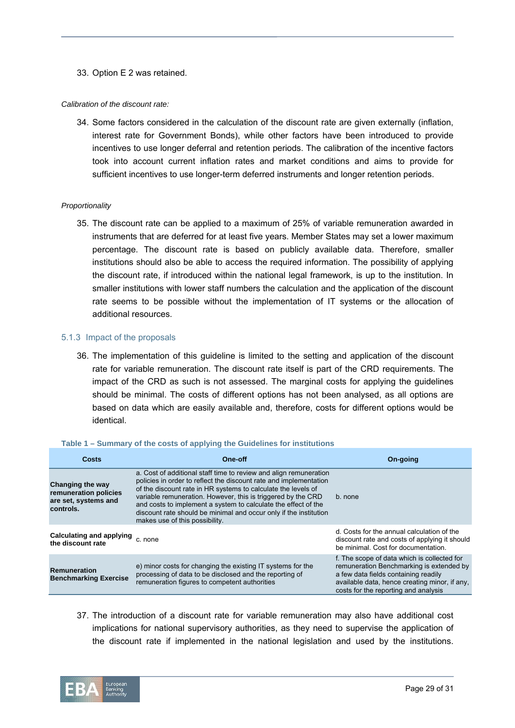33. Option E 2 was retained.

#### *Calibration of the discount rate:*

34. Some factors considered in the calculation of the discount rate are given externally (inflation, interest rate for Government Bonds), while other factors have been introduced to provide incentives to use longer deferral and retention periods. The calibration of the incentive factors took into account current inflation rates and market conditions and aims to provide for sufficient incentives to use longer-term deferred instruments and longer retention periods.

#### *Proportionality*

35. The discount rate can be applied to a maximum of 25% of variable remuneration awarded in instruments that are deferred for at least five years. Member States may set a lower maximum percentage. The discount rate is based on publicly available data. Therefore, smaller institutions should also be able to access the required information. The possibility of applying the discount rate, if introduced within the national legal framework, is up to the institution. In smaller institutions with lower staff numbers the calculation and the application of the discount rate seems to be possible without the implementation of IT systems or the allocation of additional resources.

#### 5.1.3 Impact of the proposals

36. The implementation of this guideline is limited to the setting and application of the discount rate for variable remuneration. The discount rate itself is part of the CRD requirements. The impact of the CRD as such is not assessed. The marginal costs for applying the guidelines should be minimal. The costs of different options has not been analysed, as all options are based on data which are easily available and, therefore, costs for different options would be identical.

| Costs                                                                          | One-off                                                                                                                                                                                                                                                                                                                                                                                                                                          | On-going                                                                                                                                                                                                                 |
|--------------------------------------------------------------------------------|--------------------------------------------------------------------------------------------------------------------------------------------------------------------------------------------------------------------------------------------------------------------------------------------------------------------------------------------------------------------------------------------------------------------------------------------------|--------------------------------------------------------------------------------------------------------------------------------------------------------------------------------------------------------------------------|
| Changing the way<br>remuneration policies<br>are set, systems and<br>controls. | a. Cost of additional staff time to review and align remuneration<br>policies in order to reflect the discount rate and implementation<br>of the discount rate in HR systems to calculate the levels of<br>variable remuneration. However, this is triggered by the CRD<br>and costs to implement a system to calculate the effect of the<br>discount rate should be minimal and occur only if the institution<br>makes use of this possibility. | b. none                                                                                                                                                                                                                  |
| Calculating and applying c. none<br>the discount rate                          |                                                                                                                                                                                                                                                                                                                                                                                                                                                  | d. Costs for the annual calculation of the<br>discount rate and costs of applying it should<br>be minimal. Cost for documentation.                                                                                       |
| <b>Remuneration</b><br><b>Benchmarking Exercise</b>                            | e) minor costs for changing the existing IT systems for the<br>processing of data to be disclosed and the reporting of<br>remuneration figures to competent authorities                                                                                                                                                                                                                                                                          | f. The scope of data which is collected for<br>remuneration Benchmarking is extended by<br>a few data fields containing readily<br>available data, hence creating minor, if any,<br>costs for the reporting and analysis |

#### **Table 1 – Summary of the costs of applying the Guidelines for institutions**

37. The introduction of a discount rate for variable remuneration may also have additional cost implications for national supervisory authorities, as they need to supervise the application of the discount rate if implemented in the national legislation and used by the institutions.

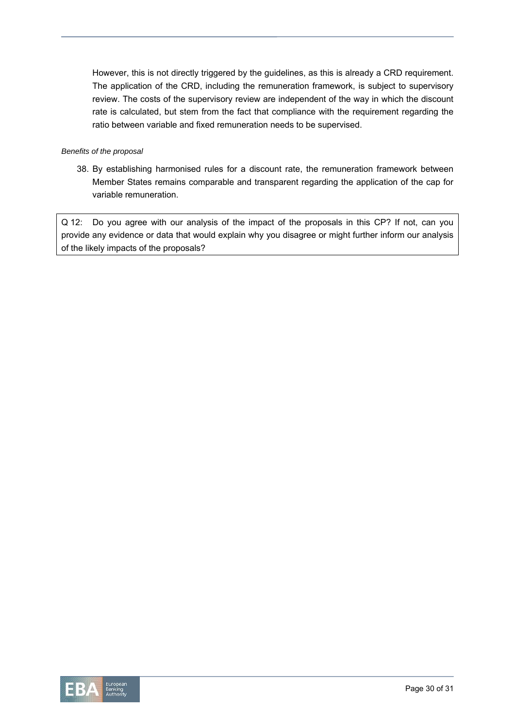However, this is not directly triggered by the guidelines, as this is already a CRD requirement. The application of the CRD, including the remuneration framework, is subject to supervisory review. The costs of the supervisory review are independent of the way in which the discount rate is calculated, but stem from the fact that compliance with the requirement regarding the ratio between variable and fixed remuneration needs to be supervised.

#### *Benefits of the proposal*

38. By establishing harmonised rules for a discount rate, the remuneration framework between Member States remains comparable and transparent regarding the application of the cap for variable remuneration.

Q 12: Do you agree with our analysis of the impact of the proposals in this CP? If not, can you provide any evidence or data that would explain why you disagree or might further inform our analysis of the likely impacts of the proposals?